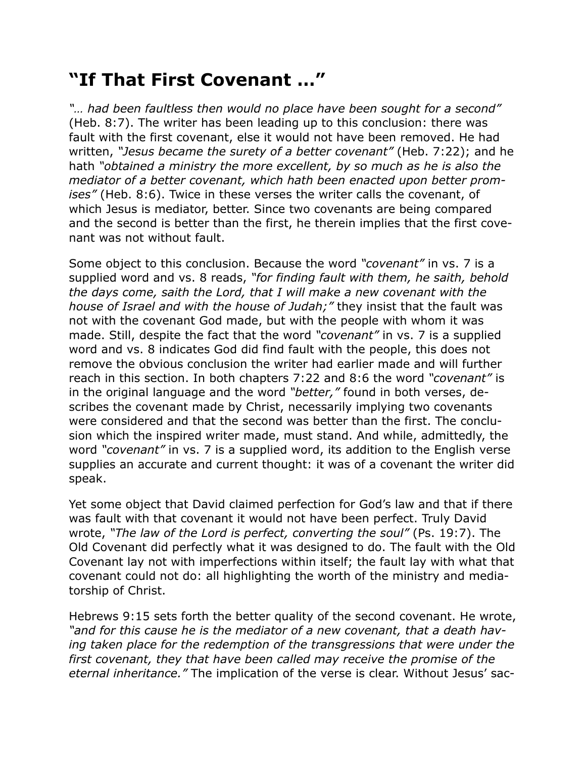## **"If That First Covenant …"**

*"… had been faultless then would no place have been sought for a second"* (Heb. 8:7). The writer has been leading up to this conclusion: there was fault with the first covenant, else it would not have been removed. He had written, *"Jesus became the surety of a better covenant"* (Heb. 7:22); and he hath *"obtained a ministry the more excellent, by so much as he is also the mediator of a better covenant, which hath been enacted upon better promises"* (Heb. 8:6). Twice in these verses the writer calls the covenant, of which Jesus is mediator, better. Since two covenants are being compared and the second is better than the first, he therein implies that the first covenant was not without fault.

Some object to this conclusion. Because the word *"covenant"* in vs. 7 is a supplied word and vs. 8 reads, *"for finding fault with them, he saith, behold the days come, saith the Lord, that I will make a new covenant with the house of Israel and with the house of Judah;"* they insist that the fault was not with the covenant God made, but with the people with whom it was made. Still, despite the fact that the word *"covenant"* in vs. 7 is a supplied word and vs. 8 indicates God did find fault with the people, this does not remove the obvious conclusion the writer had earlier made and will further reach in this section. In both chapters 7:22 and 8:6 the word *"covenant"* is in the original language and the word *"better,"* found in both verses, describes the covenant made by Christ, necessarily implying two covenants were considered and that the second was better than the first. The conclusion which the inspired writer made, must stand. And while, admittedly, the word *"covenant"* in vs. 7 is a supplied word, its addition to the English verse supplies an accurate and current thought: it was of a covenant the writer did speak.

Yet some object that David claimed perfection for God's law and that if there was fault with that covenant it would not have been perfect. Truly David wrote, *"The law of the Lord is perfect, converting the soul"* (Ps. 19:7). The Old Covenant did perfectly what it was designed to do. The fault with the Old Covenant lay not with imperfections within itself; the fault lay with what that covenant could not do: all highlighting the worth of the ministry and mediatorship of Christ.

Hebrews 9:15 sets forth the better quality of the second covenant. He wrote, *"and for this cause he is the mediator of a new covenant, that a death having taken place for the redemption of the transgressions that were under the first covenant, they that have been called may receive the promise of the eternal inheritance."* The implication of the verse is clear. Without Jesus' sac